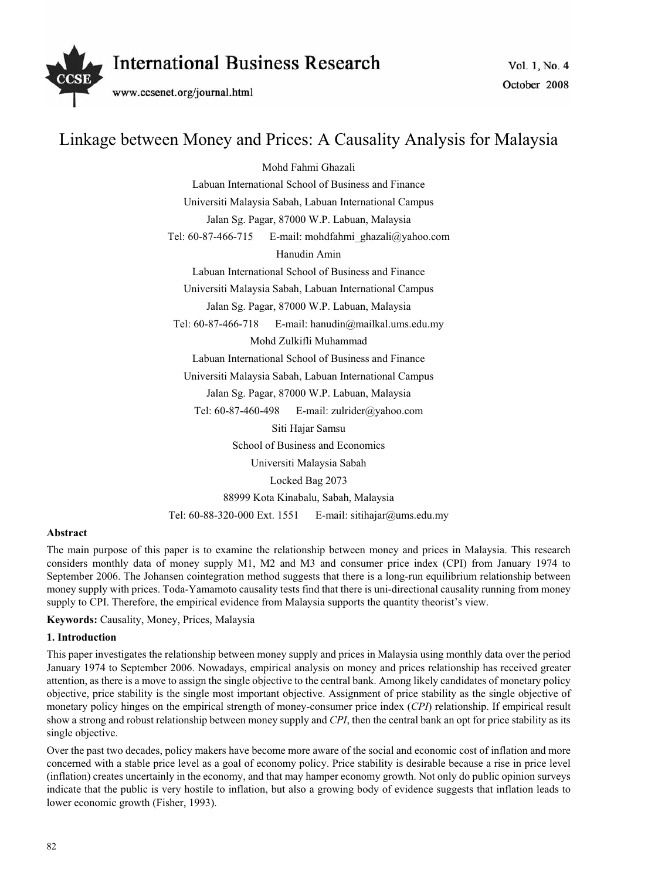

# Linkage between Money and Prices: A Causality Analysis for Malaysia

Mohd Fahmi Ghazali

Labuan International School of Business and Finance

Universiti Malaysia Sabah, Labuan International Campus

Jalan Sg. Pagar, 87000 W.P. Labuan, Malaysia

Tel: 60-87-466-715 E-mail: mohdfahmi\_ghazali@yahoo.com

Hanudin Amin

Labuan International School of Business and Finance

Universiti Malaysia Sabah, Labuan International Campus

Jalan Sg. Pagar, 87000 W.P. Labuan, Malaysia

Tel: 60-87-466-718 E-mail: hanudin@mailkal.ums.edu.my Mohd Zulkifli Muhammad

Labuan International School of Business and Finance

Universiti Malaysia Sabah, Labuan International Campus

Jalan Sg. Pagar, 87000 W.P. Labuan, Malaysia

Tel: 60-87-460-498 E-mail: zulrider@yahoo.com Siti Hajar Samsu School of Business and Economics Universiti Malaysia Sabah Locked Bag 2073 88999 Kota Kinabalu, Sabah, Malaysia Tel: 60-88-320-000 Ext. 1551 E-mail: sitihajar@ums.edu.my

# **Abstract**

The main purpose of this paper is to examine the relationship between money and prices in Malaysia. This research considers monthly data of money supply M1, M2 and M3 and consumer price index (CPI) from January 1974 to September 2006. The Johansen cointegration method suggests that there is a long-run equilibrium relationship between money supply with prices. Toda-Yamamoto causality tests find that there is uni-directional causality running from money supply to CPI. Therefore, the empirical evidence from Malaysia supports the quantity theorist's view.

**Keywords:** Causality, Money, Prices, Malaysia

# **1. Introduction**

This paper investigates the relationship between money supply and prices in Malaysia using monthly data over the period January 1974 to September 2006. Nowadays, empirical analysis on money and prices relationship has received greater attention, as there is a move to assign the single objective to the central bank. Among likely candidates of monetary policy objective, price stability is the single most important objective. Assignment of price stability as the single objective of monetary policy hinges on the empirical strength of money-consumer price index (*CPI*) relationship. If empirical result show a strong and robust relationship between money supply and *CPI*, then the central bank an opt for price stability as its single objective.

Over the past two decades, policy makers have become more aware of the social and economic cost of inflation and more concerned with a stable price level as a goal of economy policy. Price stability is desirable because a rise in price level (inflation) creates uncertainly in the economy, and that may hamper economy growth. Not only do public opinion surveys indicate that the public is very hostile to inflation, but also a growing body of evidence suggests that inflation leads to lower economic growth (Fisher, 1993).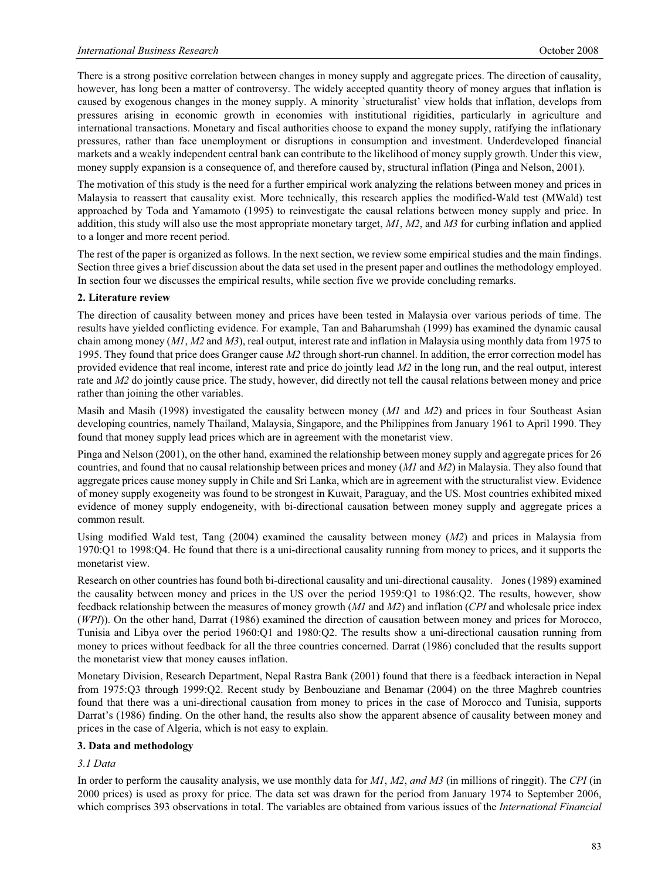There is a strong positive correlation between changes in money supply and aggregate prices. The direction of causality, however, has long been a matter of controversy. The widely accepted quantity theory of money argues that inflation is caused by exogenous changes in the money supply. A minority `structuralist' view holds that inflation, develops from pressures arising in economic growth in economies with institutional rigidities, particularly in agriculture and international transactions. Monetary and fiscal authorities choose to expand the money supply, ratifying the inflationary pressures, rather than face unemployment or disruptions in consumption and investment. Underdeveloped financial markets and a weakly independent central bank can contribute to the likelihood of money supply growth. Under this view, money supply expansion is a consequence of, and therefore caused by, structural inflation (Pinga and Nelson, 2001).

The motivation of this study is the need for a further empirical work analyzing the relations between money and prices in Malaysia to reassert that causality exist. More technically, this research applies the modified-Wald test (MWald) test approached by Toda and Yamamoto (1995) to reinvestigate the causal relations between money supply and price. In addition, this study will also use the most appropriate monetary target, *M1*, *M2*, and *M3* for curbing inflation and applied to a longer and more recent period.

The rest of the paper is organized as follows. In the next section, we review some empirical studies and the main findings. Section three gives a brief discussion about the data set used in the present paper and outlines the methodology employed. In section four we discusses the empirical results, while section five we provide concluding remarks.

### **2. Literature review**

The direction of causality between money and prices have been tested in Malaysia over various periods of time. The results have yielded conflicting evidence. For example, Tan and Baharumshah (1999) has examined the dynamic causal chain among money (*M1*, *M2* and *M3*), real output, interest rate and inflation in Malaysia using monthly data from 1975 to 1995. They found that price does Granger cause *M2* through short-run channel. In addition, the error correction model has provided evidence that real income, interest rate and price do jointly lead *M2* in the long run, and the real output, interest rate and *M2* do jointly cause price. The study, however, did directly not tell the causal relations between money and price rather than joining the other variables.

Masih and Masih (1998) investigated the causality between money (*M1* and *M2*) and prices in four Southeast Asian developing countries, namely Thailand, Malaysia, Singapore, and the Philippines from January 1961 to April 1990. They found that money supply lead prices which are in agreement with the monetarist view.

Pinga and Nelson (2001), on the other hand, examined the relationship between money supply and aggregate prices for 26 countries, and found that no causal relationship between prices and money (*M1* and *M2*) in Malaysia. They also found that aggregate prices cause money supply in Chile and Sri Lanka, which are in agreement with the structuralist view. Evidence of money supply exogeneity was found to be strongest in Kuwait, Paraguay, and the US. Most countries exhibited mixed evidence of money supply endogeneity, with bi-directional causation between money supply and aggregate prices a common result.

Using modified Wald test, Tang (2004) examined the causality between money (*M2*) and prices in Malaysia from 1970:Q1 to 1998:Q4. He found that there is a uni-directional causality running from money to prices, and it supports the monetarist view.

Research on other countries has found both bi-directional causality and uni-directional causality. Jones (1989) examined the causality between money and prices in the US over the period 1959:Q1 to 1986:Q2. The results, however, show feedback relationship between the measures of money growth (*M1* and *M2*) and inflation (*CPI* and wholesale price index (*WPI*)). On the other hand, Darrat (1986) examined the direction of causation between money and prices for Morocco, Tunisia and Libya over the period 1960:Q1 and 1980:Q2. The results show a uni-directional causation running from money to prices without feedback for all the three countries concerned. Darrat (1986) concluded that the results support the monetarist view that money causes inflation.

Monetary Division, Research Department, Nepal Rastra Bank (2001) found that there is a feedback interaction in Nepal from 1975:Q3 through 1999:Q2. Recent study by Benbouziane and Benamar (2004) on the three Maghreb countries found that there was a uni-directional causation from money to prices in the case of Morocco and Tunisia, supports Darrat's (1986) finding. On the other hand, the results also show the apparent absence of causality between money and prices in the case of Algeria, which is not easy to explain.

#### **3. Data and methodology**

#### *3.1 Data*

In order to perform the causality analysis, we use monthly data for *M1*, *M2*, *and M3* (in millions of ringgit). The *CPI* (in 2000 prices) is used as proxy for price. The data set was drawn for the period from January 1974 to September 2006, which comprises 393 observations in total. The variables are obtained from various issues of the *International Financial*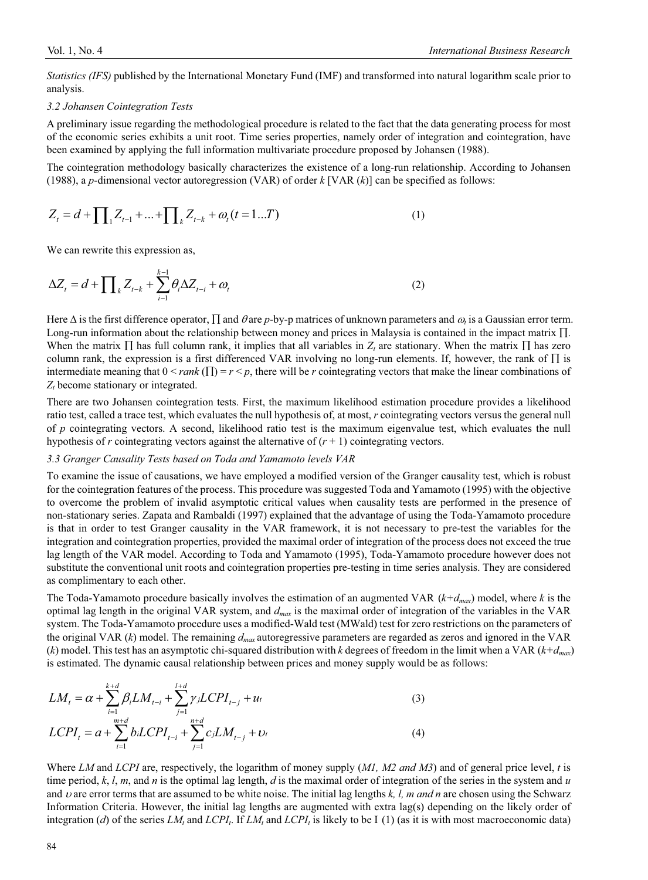*Statistics (IFS)* published by the International Monetary Fund (IMF) and transformed into natural logarithm scale prior to analysis.

#### *3.2 Johansen Cointegration Tests*

A preliminary issue regarding the methodological procedure is related to the fact that the data generating process for most of the economic series exhibits a unit root. Time series properties, namely order of integration and cointegration, have been examined by applying the full information multivariate procedure proposed by Johansen (1988).

The cointegration methodology basically characterizes the existence of a long-run relationship. According to Johansen (1988), a *p*-dimensional vector autoregression (VAR) of order *k* [VAR (*k*)] can be specified as follows:

$$
Z_{t} = d + \prod_{1} Z_{t-1} + \dots + \prod_{k} Z_{t-k} + \omega_{t} (t = 1...T)
$$
 (1)

We can rewrite this expression as,

$$
\Delta Z_t = d + \prod_k Z_{t-k} + \sum_{i=1}^{k-1} \theta_i \Delta Z_{t-i} + \omega_t
$$
 (2)

Here  $\Delta$  is the first difference operator,  $\prod$  and  $\theta$  are *p*-by-p matrices of unknown parameters and  $\omega$ , is a Gaussian error term. Long-run information about the relationship between money and prices in Malaysia is contained in the impact matrix  $\Pi$ . When the matrix  $\Pi$  has full column rank, it implies that all variables in  $Z_t$  are stationary. When the matrix  $\Pi$  has zero column rank, the expression is a first differenced VAR involving no long-run elements. If, however, the rank of  $\Pi$  is intermediate meaning that  $0 \leq rank(\Pi) = r \leq p$ , there will be *r* cointegrating vectors that make the linear combinations of  $Z_t$  become stationary or integrated.

There are two Johansen cointegration tests. First, the maximum likelihood estimation procedure provides a likelihood ratio test, called a trace test, which evaluates the null hypothesis of, at most, *r* cointegrating vectors versus the general null of *p* cointegrating vectors. A second, likelihood ratio test is the maximum eigenvalue test, which evaluates the null hypothesis of  $r$  cointegrating vectors against the alternative of  $(r + 1)$  cointegrating vectors.

#### *3.3 Granger Causality Tests based on Toda and Yamamoto levels VAR*

To examine the issue of causations, we have employed a modified version of the Granger causality test, which is robust for the cointegration features of the process. This procedure was suggested Toda and Yamamoto (1995) with the objective to overcome the problem of invalid asymptotic critical values when causality tests are performed in the presence of non-stationary series. Zapata and Rambaldi (1997) explained that the advantage of using the Toda-Yamamoto procedure is that in order to test Granger causality in the VAR framework, it is not necessary to pre-test the variables for the integration and cointegration properties, provided the maximal order of integration of the process does not exceed the true lag length of the VAR model. According to Toda and Yamamoto (1995), Toda-Yamamoto procedure however does not substitute the conventional unit roots and cointegration properties pre-testing in time series analysis. They are considered as complimentary to each other.

The Toda-Yamamoto procedure basically involves the estimation of an augmented VAR (*k+dmax*) model, where *k* is the optimal lag length in the original VAR system, and *dmax* is the maximal order of integration of the variables in the VAR system. The Toda-Yamamoto procedure uses a modified-Wald test (MWald) test for zero restrictions on the parameters of the original VAR (*k*) model. The remaining *dmax* autoregressive parameters are regarded as zeros and ignored in the VAR (*k*) model. This test has an asymptotic chi-squared distribution with *k* degrees of freedom in the limit when a VAR ( $k+d_{max}$ ) is estimated. The dynamic causal relationship between prices and money supply would be as follows:

$$
LM_{t} = \alpha + \sum_{i=1}^{k+d} \beta_{i} LM_{t-i} + \sum_{j=1}^{l+d} \gamma_{j} L CPI_{t-j} + u_{t}
$$
\n
$$
LCPI_{t} = a + \sum_{i=1}^{m+d} b_{i} L CPI_{t-i} + \sum_{j=1}^{n+d} c_{j} LM_{t-j} + v_{t}
$$
\n(4)

Where *LM* and *LCPI* are, respectively, the logarithm of money supply (*M1, M2 and M3*) and of general price level, *t* is time period,  $k$ ,  $l$ ,  $m$ , and  $n$  is the optimal lag length,  $d$  is the maximal order of integration of the series in the system and  $u$ and  $\nu$  are error terms that are assumed to be white noise. The initial lag lengths  $k$ ,  $l$ ,  $m$  and  $n$  are chosen using the Schwarz Information Criteria. However, the initial lag lengths are augmented with extra lag(s) depending on the likely order of integration (*d*) of the series  $LM_t$  and  $LCP_I$ . If  $LM_t$  and  $LCP_I$  is likely to be I (1) (as it is with most macroeconomic data)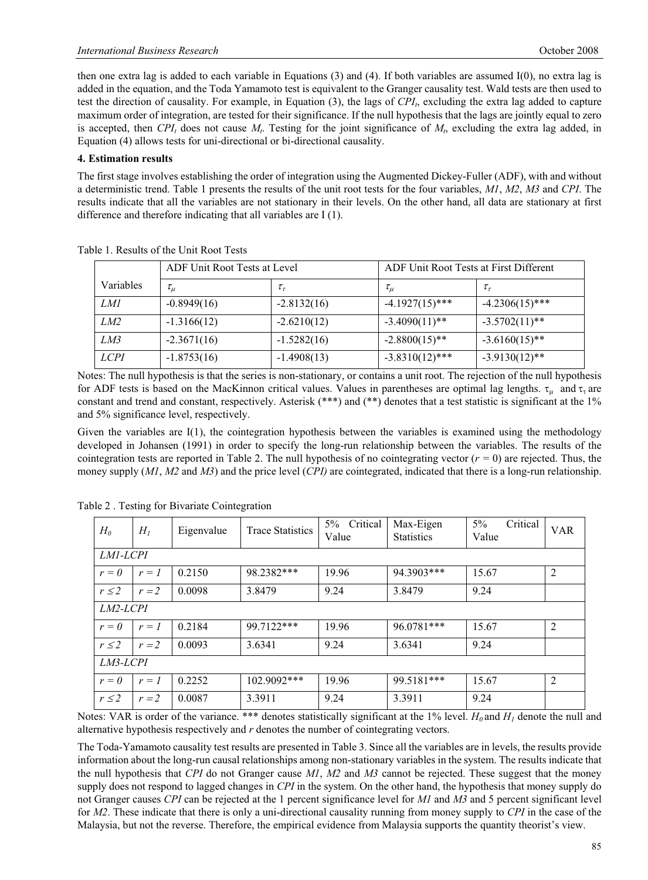then one extra lag is added to each variable in Equations (3) and (4). If both variables are assumed I(0), no extra lag is added in the equation, and the Toda Yamamoto test is equivalent to the Granger causality test. Wald tests are then used to test the direction of causality. For example, in Equation  $(3)$ , the lags of  $CPI<sub>1</sub>$ , excluding the extra lag added to capture maximum order of integration, are tested for their significance. If the null hypothesis that the lags are jointly equal to zero is accepted, then  $CPI_t$  does not cause  $M_t$ . Testing for the joint significance of  $M_t$ , excluding the extra lag added, in Equation (4) allows tests for uni-directional or bi-directional causality.

### **4. Estimation results**

The first stage involves establishing the order of integration using the Augmented Dickey-Fuller (ADF), with and without a deterministic trend. Table 1 presents the results of the unit root tests for the four variables, *M1*, *M2*, *M3* and *CPI*. The results indicate that all the variables are not stationary in their levels. On the other hand, all data are stationary at first difference and therefore indicating that all variables are I (1).

|             | ADF Unit Root Tests at Level |               | ADF Unit Root Tests at First Different |                   |  |
|-------------|------------------------------|---------------|----------------------------------------|-------------------|--|
| Variables   | $\tau_\mu$                   | $\tau_{\tau}$ | $\tau_\mu$                             | $\tau_{\tau}$     |  |
| <i>LM1</i>  | $-0.8949(16)$                | $-2.8132(16)$ | $-4.1927(15)$ ***                      | $-4.2306(15)$ *** |  |
| LM2         | $-1.3166(12)$                | $-2.6210(12)$ | $-3.4090(11)$ **                       | $-3.5702(11)$ **  |  |
| LM3         | $-2.3671(16)$                | $-1.5282(16)$ | $-2.8800(15)$ **                       | $-3.6160(15)$ **  |  |
| <b>LCPI</b> | $-1.8753(16)$                | $-1.4908(13)$ | $-3.8310(12)$ ***                      | $-3.9130(12)$ **  |  |

Table 1. Results of the Unit Root Tests

Notes: The null hypothesis is that the series is non-stationary, or contains a unit root. The rejection of the null hypothesis for ADF tests is based on the MacKinnon critical values. Values in parentheses are optimal lag lengths.  $\tau_u$  and  $\tau_{\tau}$  are constant and trend and constant, respectively. Asterisk (\*\*\*) and (\*\*) denotes that a test statistic is significant at the 1% and 5% significance level, respectively.

Given the variables are  $I(1)$ , the cointegration hypothesis between the variables is examined using the methodology developed in Johansen (1991) in order to specify the long-run relationship between the variables. The results of the cointegration tests are reported in Table 2. The null hypothesis of no cointegrating vector  $(r = 0)$  are rejected. Thus, the money supply (*M1*, *M2* and *M3*) and the price level (*CPI)* are cointegrated, indicated that there is a long-run relationship.

| $H_0$      | $H_I$   | Eigenvalue | <b>Trace Statistics</b> | Critical<br>$5\%$<br>Value | Max-Eigen<br><b>Statistics</b> | $5\%$<br>Critical<br>Value | <b>VAR</b>     |  |
|------------|---------|------------|-------------------------|----------------------------|--------------------------------|----------------------------|----------------|--|
| LM1-LCPI   |         |            |                         |                            |                                |                            |                |  |
| $r=0$      | $r = 1$ | 0.2150     | 98.2382***              | 19.96                      | 94.3903***                     | 15.67                      | $\overline{2}$ |  |
| $r \leq 2$ | $r = 2$ | 0.0098     | 3.8479                  | 9.24                       | 3.8479                         | 9.24                       |                |  |
| LM2-LCPI   |         |            |                         |                            |                                |                            |                |  |
| $r=0$      | $r=1$   | 0.2184     | 99.7122***              | 19.96                      | 96.0781***                     | 15.67                      | 2              |  |
| $r \leq 2$ | $r = 2$ | 0.0093     | 3.6341                  | 9.24                       | 3.6341                         | 9.24                       |                |  |
| LM3-LCPI   |         |            |                         |                            |                                |                            |                |  |
| $r=0$      | $r = 1$ | 0.2252     | $102.9092***$           | 19.96                      | 99.5181***                     | 15.67                      | $\overline{2}$ |  |
| $r \leq 2$ | $r = 2$ | 0.0087     | 3.3911                  | 9.24                       | 3.3911                         | 9.24                       |                |  |

Table 2 . Testing for Bivariate Cointegration

Notes: VAR is order of the variance. \*\*\* denotes statistically significant at the 1% level.  $H_0$  and  $H_1$  denote the null and alternative hypothesis respectively and *r* denotes the number of cointegrating vectors.

The Toda-Yamamoto causality test results are presented in Table 3. Since all the variables are in levels, the results provide information about the long-run causal relationships among non-stationary variables in the system. The results indicate that the null hypothesis that *CPI* do not Granger cause *M1*, *M2* and *M3* cannot be rejected. These suggest that the money supply does not respond to lagged changes in *CPI* in the system. On the other hand, the hypothesis that money supply do not Granger causes *CPI* can be rejected at the 1 percent significance level for *M1* and *M3* and 5 percent significant level for *M2*. These indicate that there is only a uni-directional causality running from money supply to *CPI* in the case of the Malaysia, but not the reverse. Therefore, the empirical evidence from Malaysia supports the quantity theorist's view.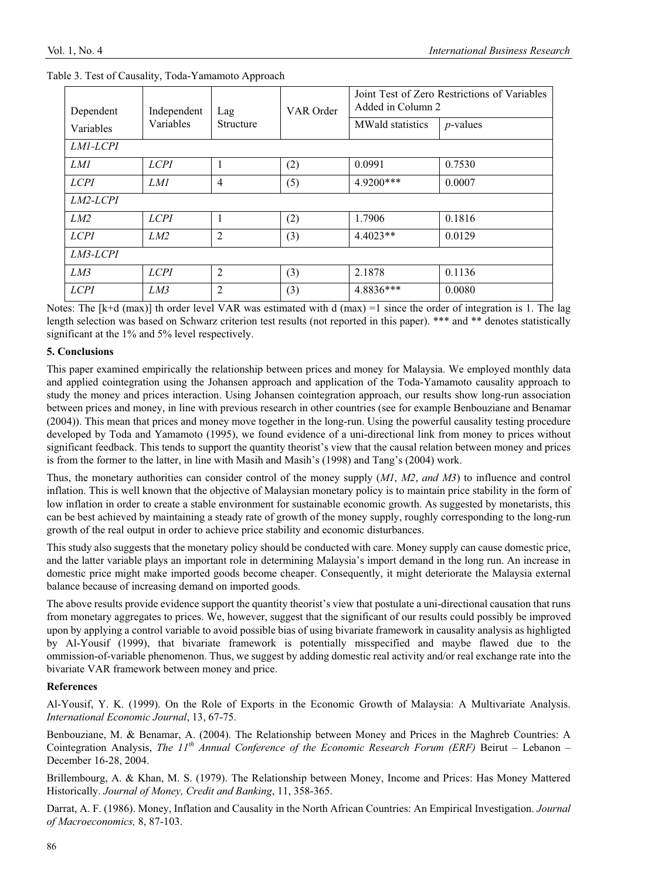| Dependent       | Independent<br>Variables | Lag<br>Structure | VAR Order | Joint Test of Zero Restrictions of Variables<br>Added in Column 2 |             |  |  |
|-----------------|--------------------------|------------------|-----------|-------------------------------------------------------------------|-------------|--|--|
| Variables       |                          |                  |           | <b>MWald statistics</b>                                           | $p$ -values |  |  |
| <i>LM1-LCPI</i> |                          |                  |           |                                                                   |             |  |  |
| <i>LM1</i>      | <b>LCPI</b>              | 1                | (2)       | 0.0991                                                            | 0.7530      |  |  |
| <i>LCPI</i>     | <i>LM1</i>               | $\overline{4}$   | (5)       | 4.9200***                                                         | 0.0007      |  |  |
| <i>LM2-LCPI</i> |                          |                  |           |                                                                   |             |  |  |
| LM2             | <b>LCPI</b>              |                  | (2)       | 1.7906                                                            | 0.1816      |  |  |
| <i>LCPI</i>     | LM2                      | $\overline{2}$   | (3)       | $4.4023**$                                                        | 0.0129      |  |  |
| LM3-LCPI        |                          |                  |           |                                                                   |             |  |  |
| LM3             | <b>LCPI</b>              | $\mathfrak{D}$   | (3)       | 2.1878                                                            | 0.1136      |  |  |
| <i>LCPI</i>     | LM3                      | $\mathfrak{D}$   | (3)       | 4.8836***                                                         | 0.0080      |  |  |

#### Table 3. Test of Causality, Toda-Yamamoto Approach

Notes: The  $[k+d \text{ (max)}]$  th order level VAR was estimated with d  $(\text{max}) = 1$  since the order of integration is 1. The lag length selection was based on Schwarz criterion test results (not reported in this paper). \*\*\* and \*\* denotes statistically significant at the 1% and 5% level respectively.

### **5. Conclusions**

This paper examined empirically the relationship between prices and money for Malaysia. We employed monthly data and applied cointegration using the Johansen approach and application of the Toda-Yamamoto causality approach to study the money and prices interaction. Using Johansen cointegration approach, our results show long-run association between prices and money, in line with previous research in other countries (see for example Benbouziane and Benamar (2004)). This mean that prices and money move together in the long-run. Using the powerful causality testing procedure developed by Toda and Yamamoto (1995), we found evidence of a uni-directional link from money to prices without significant feedback. This tends to support the quantity theorist's view that the causal relation between money and prices is from the former to the latter, in line with Masih and Masih's (1998) and Tang's (2004) work.

Thus, the monetary authorities can consider control of the money supply (*M1*, *M2*, *and M3*) to influence and control inflation. This is well known that the objective of Malaysian monetary policy is to maintain price stability in the form of low inflation in order to create a stable environment for sustainable economic growth. As suggested by monetarists, this can be best achieved by maintaining a steady rate of growth of the money supply, roughly corresponding to the long-run growth of the real output in order to achieve price stability and economic disturbances.

This study also suggests that the monetary policy should be conducted with care. Money supply can cause domestic price, and the latter variable plays an important role in determining Malaysia's import demand in the long run. An increase in domestic price might make imported goods become cheaper. Consequently, it might deteriorate the Malaysia external balance because of increasing demand on imported goods.

The above results provide evidence support the quantity theorist's view that postulate a uni-directional causation that runs from monetary aggregates to prices. We, however, suggest that the significant of our results could possibly be improved upon by applying a control variable to avoid possible bias of using bivariate framework in causality analysis as highligted by Al-Yousif (1999), that bivariate framework is potentially misspecified and maybe flawed due to the ommission-of-variable phenomenon. Thus, we suggest by adding domestic real activity and/or real exchange rate into the bivariate VAR framework between money and price.

# **References**

Al-Yousif, Y. K. (1999). On the Role of Exports in the Economic Growth of Malaysia: A Multivariate Analysis. *International Economic Journal*, 13, 67-75.

Benbouziane, M. & Benamar, A. (2004). The Relationship between Money and Prices in the Maghreb Countries: A Cointegration Analysis, *The 11th Annual Conference of the Economic Research Forum (ERF)* Beirut – Lebanon – December 16-28, 2004.

Brillembourg, A. & Khan, M. S. (1979). The Relationship between Money, Income and Prices: Has Money Mattered Historically. *Journal of Money, Credit and Banking*, 11, 358-365.

Darrat, A. F. (1986). Money, Inflation and Causality in the North African Countries: An Empirical Investigation. *Journal of Macroeconomics,* 8, 87-103.